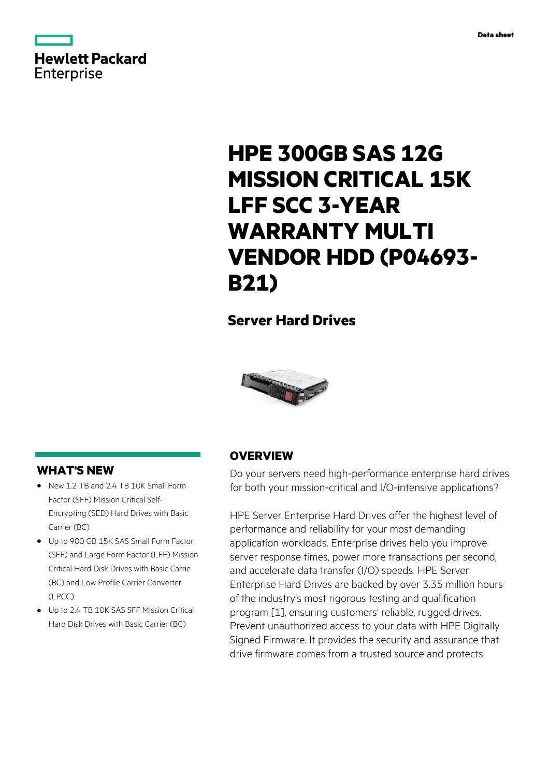

# **HPE 300GB SAS 12G MISSION CRITICAL 15K LFF SCC 3-YEAR WARRANTY MULTI VENDOR HDD (P04693- B21)**

# **Server Hard Drives**



### **WHAT'S NEW**

- **·** New 1.2 TB and 2.4 TB 10K Small Form Factor (SFF) Mission Critical Self-Encrypting (SED) Hard Drives with Basic Carrier (BC)
- **·** Up to 900 GB 15K SAS Small Form Factor (SFF) and Large Form Factor (LFF) Mission Critical Hard Disk Drives with Basic Carrie (BC) and Low Profile Carrier Converter  $($  PCC $)$
- **·** Up to 2.4 TB 10K SAS SFF Mission Critical Hard Disk Drives with Basic Carrier (BC)

### **OVERVIEW**

Do your servers need high-performance enterprise hard drives for both your mission-critical and I/O-intensive applications?

HPE Server Enterprise Hard Drives offer the highest level of performance and reliability for your most demanding application workloads. Enterprise drives help you improve server response times, power more transactions per second, and accelerate data transfer (I/O) speeds. HPE Server Enterprise Hard Drives are backed by over 3.35 million hours of the industry's most rigorous testing and qualification program [1], ensuring customers' reliable, rugged drives. Prevent unauthorized access to your data with HPE Digitally Signed Firmware. It provides the security and assurance that drive firmware comes from a trusted source and protects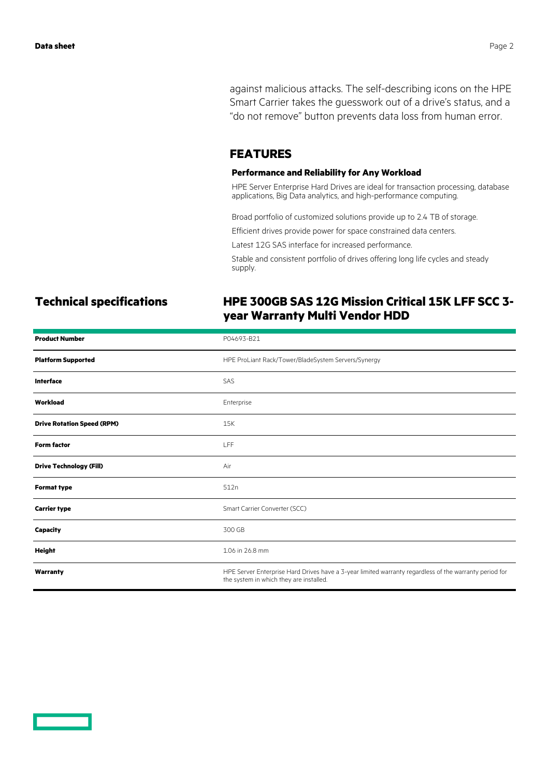against malicious attacks. The self-describing icons on the HPE Smart Carrier takes the guesswork out of a drive's status, and a "do not remove" button prevents data loss from human error.

### **FEATURES**

### **Performance and Reliability for Any Workload**

HPE Server Enterprise Hard Drives are ideal for transaction processing, database applications, Big Data analytics, and high-performance computing.

Broad portfolio of customized solutions provide up to 2.4 TB of storage.

Efficient drives provide power for space constrained data centers.

Latest 12G SAS interface for increased performance.

Stable and consistent portfolio of drives offering long life cycles and steady supply.

## **Technical specifications HPE 300GB SAS 12G Mission Critical 15K LFF SCC 3 year Warranty Multi Vendor HDD**

| <b>Product Number</b>             | P04693-B21                                                                                                                                        |
|-----------------------------------|---------------------------------------------------------------------------------------------------------------------------------------------------|
| <b>Platform Supported</b>         | HPE ProLiant Rack/Tower/BladeSystem Servers/Synergy                                                                                               |
| <b>Interface</b>                  | SAS                                                                                                                                               |
| Workload                          | Enterprise                                                                                                                                        |
| <b>Drive Rotation Speed (RPM)</b> | 15K                                                                                                                                               |
| <b>Form factor</b>                | <b>LFF</b>                                                                                                                                        |
| <b>Drive Technology (Fill)</b>    | Air                                                                                                                                               |
| <b>Format type</b>                | 512n                                                                                                                                              |
| <b>Carrier type</b>               | Smart Carrier Converter (SCC)                                                                                                                     |
| <b>Capacity</b>                   | 300 GB                                                                                                                                            |
| Height                            | 1.06 in 26.8 mm                                                                                                                                   |
| Warranty                          | HPE Server Enterprise Hard Drives have a 3-year limited warranty regardless of the warranty period for<br>the system in which they are installed. |